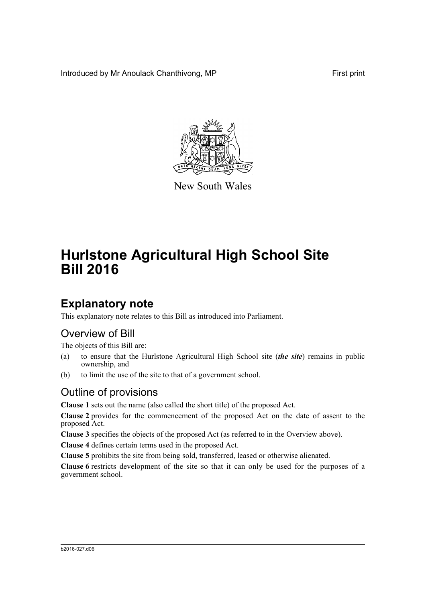Introduced by Mr Anoulack Chanthivong, MP First print



New South Wales

# **Hurlstone Agricultural High School Site Bill 2016**

## **Explanatory note**

This explanatory note relates to this Bill as introduced into Parliament.

### Overview of Bill

The objects of this Bill are:

- (a) to ensure that the Hurlstone Agricultural High School site (*the site*) remains in public ownership, and
- (b) to limit the use of the site to that of a government school.

### Outline of provisions

**Clause 1** sets out the name (also called the short title) of the proposed Act.

**Clause 2** provides for the commencement of the proposed Act on the date of assent to the proposed Act.

**Clause 3** specifies the objects of the proposed Act (as referred to in the Overview above).

**Clause 4** defines certain terms used in the proposed Act.

**Clause 5** prohibits the site from being sold, transferred, leased or otherwise alienated.

**Clause 6** restricts development of the site so that it can only be used for the purposes of a government school.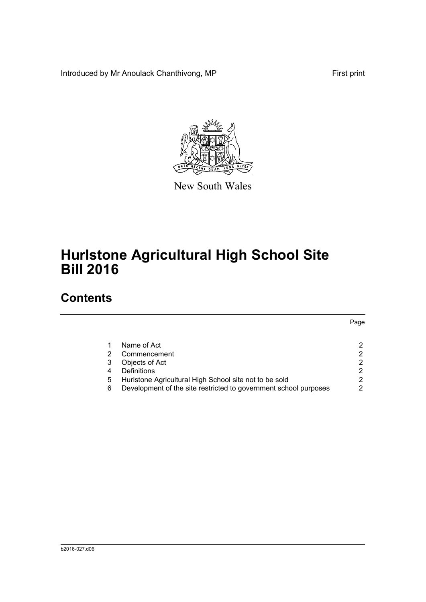Introduced by Mr Anoulack Chanthivong, MP First print

Page



New South Wales

# **Hurlstone Agricultural High School Site Bill 2016**

### **Contents**

#### [1 Name of Act 2](#page-3-0) [2 Commencement 2](#page-3-1) 2 [3 Objects of Act 2](#page-3-2) [4 Definitions 2](#page-3-3) [5 Hurlstone Agricultural High School site not to be sold 2](#page-3-4)<br>6 Development of the site restricted to government school purposes 2 [6 Development of the site restricted to government school purposes 2](#page-3-5)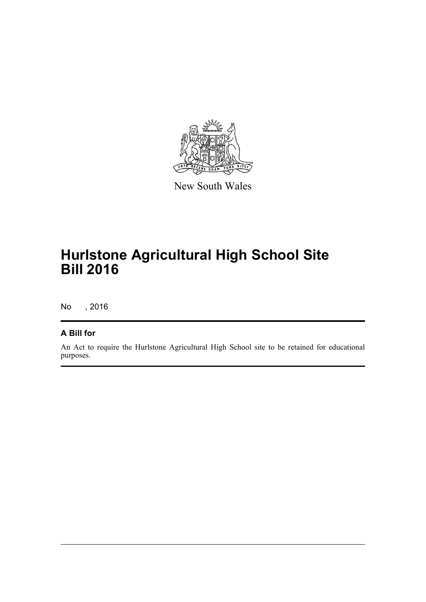

New South Wales

## **Hurlstone Agricultural High School Site Bill 2016**

No , 2016

#### **A Bill for**

An Act to require the Hurlstone Agricultural High School site to be retained for educational purposes.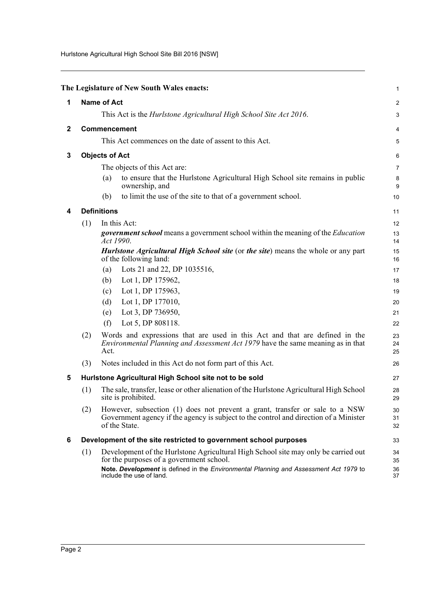Hurlstone Agricultural High School Site Bill 2016 [NSW]

<span id="page-3-5"></span><span id="page-3-4"></span><span id="page-3-3"></span><span id="page-3-2"></span><span id="page-3-1"></span><span id="page-3-0"></span>

|              |                                                                  | The Legislature of New South Wales enacts:                                                                                                                                                                                                          | $\mathbf{1}$   |
|--------------|------------------------------------------------------------------|-----------------------------------------------------------------------------------------------------------------------------------------------------------------------------------------------------------------------------------------------------|----------------|
| 1            |                                                                  | <b>Name of Act</b>                                                                                                                                                                                                                                  | $\overline{c}$ |
|              |                                                                  | This Act is the Hurlstone Agricultural High School Site Act 2016.                                                                                                                                                                                   | 3              |
| $\mathbf{2}$ |                                                                  | Commencement                                                                                                                                                                                                                                        | 4              |
|              |                                                                  | This Act commences on the date of assent to this Act.                                                                                                                                                                                               | 5              |
|              |                                                                  |                                                                                                                                                                                                                                                     |                |
| 3            |                                                                  | <b>Objects of Act</b>                                                                                                                                                                                                                               | 6              |
|              |                                                                  | The objects of this Act are:                                                                                                                                                                                                                        | $\overline{7}$ |
|              |                                                                  | to ensure that the Hurlstone Agricultural High School site remains in public<br>(a)<br>ownership, and                                                                                                                                               | 8<br>9         |
|              |                                                                  | to limit the use of the site to that of a government school.<br>(b)                                                                                                                                                                                 | 10             |
| 4            |                                                                  | <b>Definitions</b>                                                                                                                                                                                                                                  | 11             |
|              | (1)                                                              | In this Act:                                                                                                                                                                                                                                        | 12             |
|              |                                                                  | <i>government school</i> means a government school within the meaning of the <i>Education</i><br>Act 1990.                                                                                                                                          | 13<br>14       |
|              |                                                                  | Hurlstone Agricultural High School site (or the site) means the whole or any part<br>of the following land:                                                                                                                                         | 15<br>16       |
|              |                                                                  | Lots 21 and 22, DP 1035516,<br>(a)                                                                                                                                                                                                                  | 17             |
|              |                                                                  | Lot 1, DP 175962,<br>(b)                                                                                                                                                                                                                            | 18             |
|              |                                                                  | Lot 1, DP 175963,<br>(c)                                                                                                                                                                                                                            | 19             |
|              |                                                                  | Lot 1, DP 177010,<br>(d)                                                                                                                                                                                                                            | 20             |
|              |                                                                  | Lot 3, DP 736950,<br>(e)                                                                                                                                                                                                                            | 21             |
|              |                                                                  | (f)<br>Lot 5, DP 808118.                                                                                                                                                                                                                            | 22             |
|              | (2)                                                              | Words and expressions that are used in this Act and that are defined in the<br><i>Environmental Planning and Assessment Act 1979</i> have the same meaning as in that<br>Act.                                                                       | 23<br>24<br>25 |
|              | (3)                                                              | Notes included in this Act do not form part of this Act.                                                                                                                                                                                            | 26             |
| 5            | Hurlstone Agricultural High School site not to be sold           |                                                                                                                                                                                                                                                     |                |
|              | (1)                                                              | The sale, transfer, lease or other alienation of the Hurlstone Agricultural High School<br>site is prohibited.                                                                                                                                      | 28<br>29       |
|              | (2)                                                              | However, subsection (1) does not prevent a grant, transfer or sale to a NSW<br>Government agency if the agency is subject to the control and direction of a Minister<br>of the State.                                                               | 30<br>31<br>32 |
| 6            | Development of the site restricted to government school purposes |                                                                                                                                                                                                                                                     |                |
|              | (1)                                                              | Development of the Hurlstone Agricultural High School site may only be carried out<br>for the purposes of a government school.<br>Note. Development is defined in the Environmental Planning and Assessment Act 1979 to<br>include the use of land. | 34<br>35<br>36 |
|              |                                                                  |                                                                                                                                                                                                                                                     | 37             |